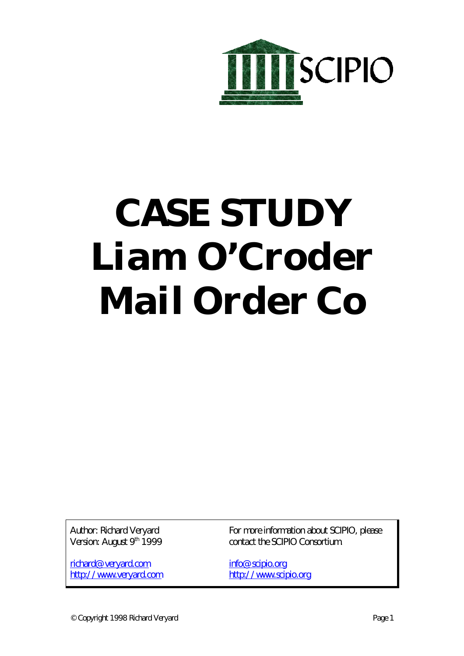

# **CASE STUDY Liam O'Croder Mail Order Co**

Author: Richard Veryard Version: August 9<sup>th</sup> 1999

richard@veryard.com http://www.veryard.com For more information about SCIPIO, please contact the SCIPIO Consortium.

info@scipio.org http://www.scipio.org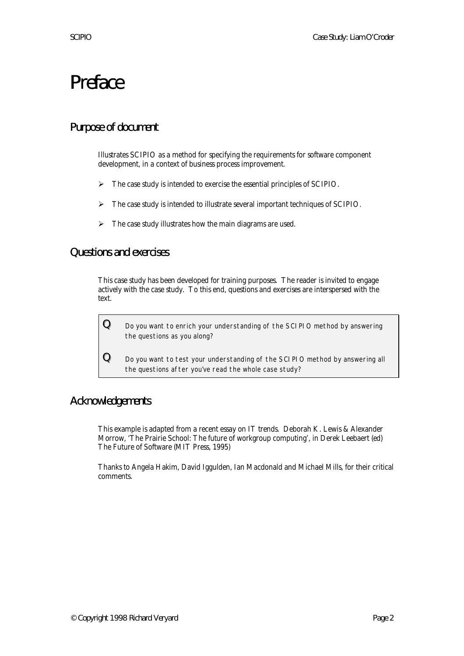# Preface

### Purpose of document

Illustrates SCIPIO as a method for specifying the requirements for software component development, in a context of business process improvement.

- $\triangleright$  The case study is intended to exercise the essential principles of SCIPIO.
- ÿ The case study is intended to illustrate several important techniques of SCIPIO.
- $\triangleright$  The case study illustrates how the main diagrams are used.

### Questions and exercises

This case study has been developed for training purposes. The reader is invited to engage actively with the case study. To this end, questions and exercises are interspersed with the text.

 ${\bf Q}\quad$  Do you want to enrich your understanding of the SCIPIO method by answering the questions as you along?

 ${\bf Q}$  Do you want to test your understanding of the SCIPIO method by answering all the questions after you've read the whole case study?

### Acknowledgements

This example is adapted from a recent essay on IT trends. Deborah K. Lewis & Alexander Morrow, 'The Prairie School: The future of workgroup computing', in Derek Leebaert (ed) The Future of Software (MIT Press, 1995)

Thanks to Angela Hakim, David Iggulden, Ian Macdonald and Michael Mills, for their critical comments.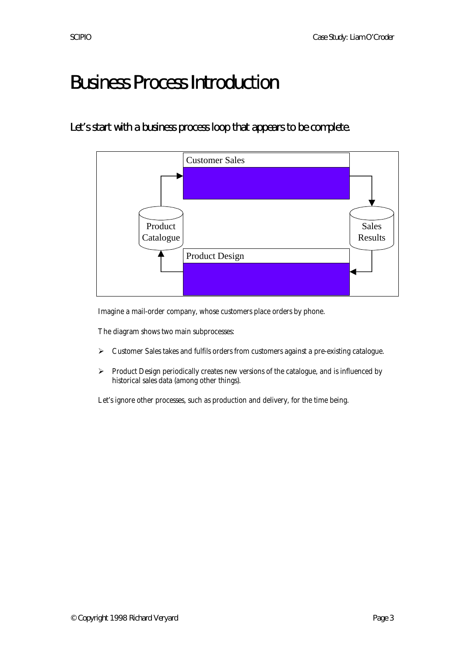# Business Process Introduction

# Let's start with a business process loop that appears to be complete.



Imagine a mail-order company, whose customers place orders by phone.

The diagram shows two main subprocesses:

- > Customer Sales takes and fulfils orders from customers against a pre-existing catalogue.
- ÿ Product Design periodically creates new versions of the catalogue, and is influenced by historical sales data (among other things).

Let's ignore other processes, such as production and delivery, for the time being.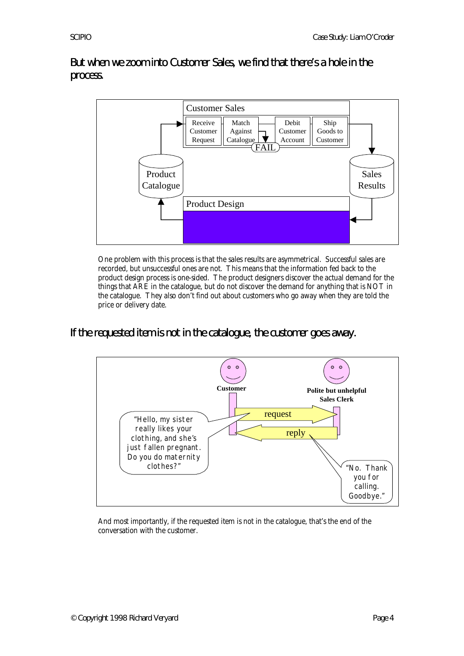But when we zoom into Customer Sales, we find that there's a hole in the process.



One problem with this process is that the sales results are asymmetrical. Successful sales are recorded, but unsuccessful ones are not. This means that the information fed back to the product design process is one-sided. The product designers discover the actual demand for the things that ARE in the catalogue, but do not discover the demand for anything that is NOT in the catalogue. They also don't find out about customers who go away when they are told the price or delivery date.

If the requested item is not in the catalogue, the customer goes away.



And most importantly, if the requested item is not in the catalogue, that's the end of the conversation with the customer.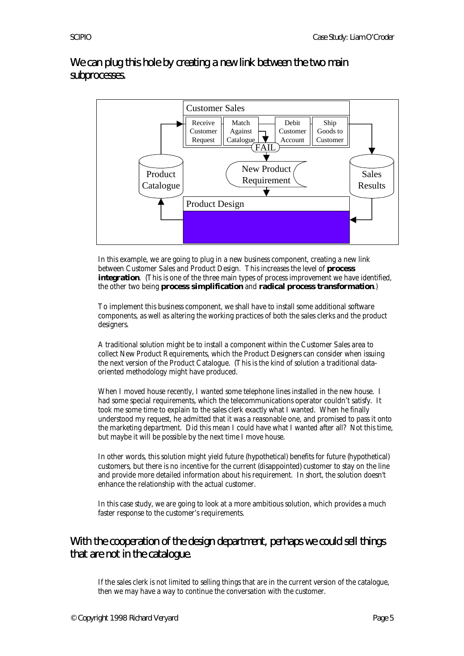We can plug this hole by creating a new link between the two main subprocesses.



In this example, we are going to plug in a new business component, creating a new link between Customer Sales and Product Design. This increases the level of **process integration**. (This is one of the three main types of process improvement we have identified, the other two being **process simplification** and **radical process transformation**.)

To implement this business component, we shall have to install some additional software components, as well as altering the working practices of both the sales clerks and the product designers.

A traditional solution might be to install a component within the Customer Sales area to collect New Product Requirements, which the Product Designers can consider when issuing the next version of the Product Catalogue. (This is the kind of solution a traditional dataoriented methodology might have produced.

When I moved house recently, I wanted some telephone lines installed in the new house. I had some special requirements, which the telecommunications operator couldn't satisfy. It took me some time to explain to the sales clerk exactly what I wanted. When he finally understood my request, he admitted that it was a reasonable one, and promised to pass it onto the marketing department. Did this mean I could have what I wanted after all? Not this time, but maybe it will be possible by the next time I move house.

In other words, this solution might yield future (hypothetical) benefits for future (hypothetical) customers, but there is no incentive for the current (disappointed) customer to stay on the line and provide more detailed information about his requirement. In short, the solution doesn't enhance the relationship with the actual customer.

In this case study, we are going to look at a more ambitious solution, which provides a much faster response to the customer's requirements.

# With the cooperation of the design department, perhaps we could sell things that are not in the catalogue.

If the sales clerk is not limited to selling things that are in the current version of the catalogue, then we may have a way to continue the conversation with the customer.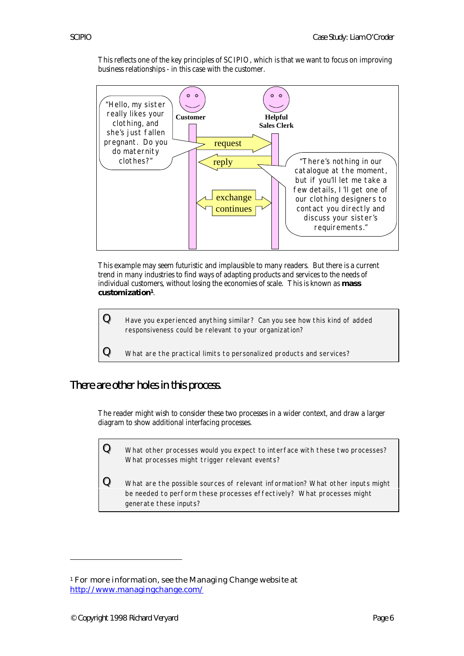This reflects one of the key principles of SCIPIO, which is that we want to focus on improving business relationships - in this case with the customer.



This example may seem futuristic and implausible to many readers. But there is a current trend in many industries to find ways of adapting products and services to the needs of individual customers, without losing the economies of scale. This is known as **mass customization1**.



There are other holes in this process.

The reader might wish to consider these two processes in a wider context, and draw a larger diagram to show additional interfacing processes.

 ${\bf Q}\equiv$  What other processes would you expect to interface with these two processes? What processes might trigger relevant events?

 $\mathbf Q$  What are the possible sources of relevant information? What other inputs might be needed to perform these processes effectively? What processes might generate these inputs?

 $\overline{a}$ 

<sup>1</sup> For more information, see the Managing Change website at http://www.managingchange.com/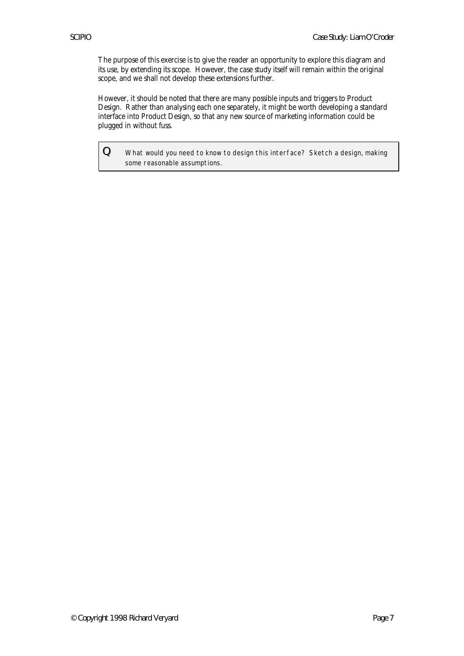The purpose of this exercise is to give the reader an opportunity to explore this diagram and its use, by extending its scope. However, the case study itself will remain within the original scope, and we shall not develop these extensions further.

However, it should be noted that there are many possible inputs and triggers to Product Design. Rather than analysing each one separately, it might be worth developing a standard interface into Product Design, so that any new source of marketing information could be plugged in without fuss.

 $Q$  What would you need to know to design this interface? Sketch a design, making some reasonable assumptions.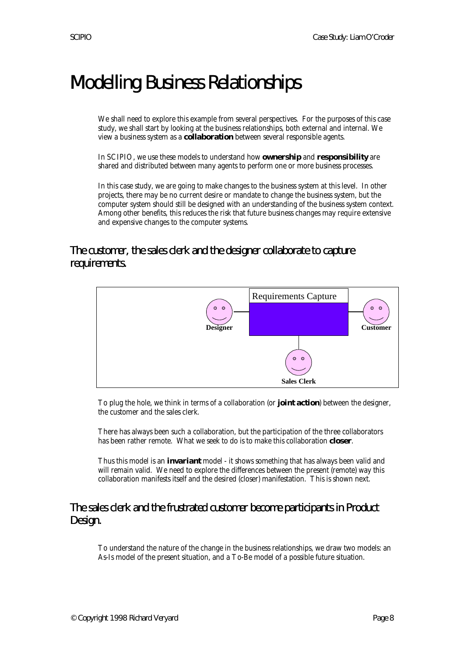# Modelling Business Relationships

We shall need to explore this example from several perspectives. For the purposes of this case study, we shall start by looking at the business relationships, both external and internal. We view a business system as a **collaboration** between several responsible agents.

In SCIPIO, we use these models to understand how **ownership** and **responsibility** are shared and distributed between many agents to perform one or more business processes.

In this case study, we are going to make changes to the business system at this level. In other projects, there may be no current desire or mandate to change the business system, but the computer system should still be designed with an understanding of the business system context. Among other benefits, this reduces the risk that future business changes may require extensive and expensive changes to the computer systems.

# The customer, the sales clerk and the designer collaborate to capture requirements.



To plug the hole, we think in terms of a collaboration (or **joint action**) between the designer, the customer and the sales clerk.

There has always been such a collaboration, but the participation of the three collaborators has been rather remote. What we seek to do is to make this collaboration **closer**.

Thus this model is an **invariant** model - it shows something that has always been valid and will remain valid. We need to explore the differences between the present (remote) way this collaboration manifests itself and the desired (closer) manifestation. This is shown next.

### The sales clerk and the frustrated customer become participants in Product Design.

To understand the nature of the change in the business relationships, we draw two models: an As-Is model of the present situation, and a To-Be model of a possible future situation.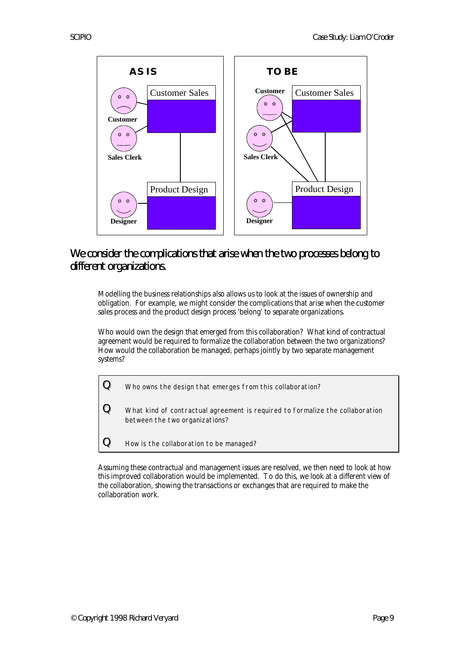

# We consider the complications that arise when the two processes belong to different organizations.

Modelling the business relationships also allows us to look at the issues of ownership and obligation. For example, we might consider the complications that arise when the customer sales process and the product design process 'belong' to separate organizations.

Who would own the design that emerged from this collaboration? What kind of contractual agreement would be required to formalize the collaboration between the two organizations? How would the collaboration be managed, perhaps jointly by two separate management systems?



Assuming these contractual and management issues are resolved, we then need to look at how this improved collaboration would be implemented. To do this, we look at a different view of the collaboration, showing the transactions or exchanges that are required to make the collaboration work.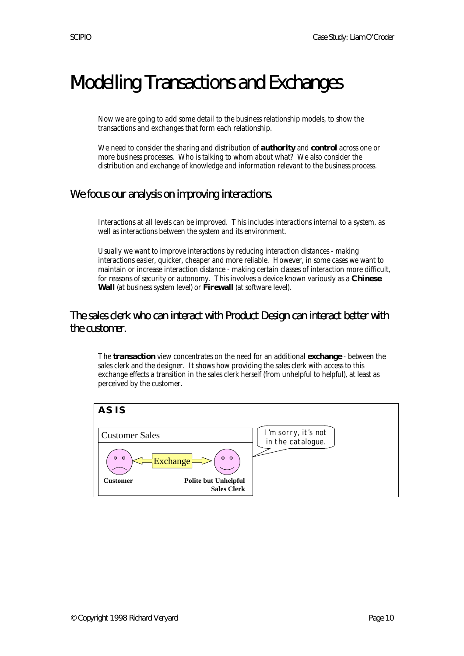# Modelling Transactions and Exchanges

Now we are going to add some detail to the business relationship models, to show the transactions and exchanges that form each relationship.

We need to consider the sharing and distribution of **authority** and **control** across one or more business processes. Who is talking to whom about what? We also consider the distribution and exchange of knowledge and information relevant to the business process.

# We focus our analysis on improving interactions.

Interactions at all levels can be improved. This includes interactions internal to a system, as well as interactions between the system and its environment.

Usually we want to improve interactions by reducing interaction distances - making interactions easier, quicker, cheaper and more reliable. However, in some cases we want to maintain or increase interaction distance - making certain classes of interaction more difficult, for reasons of security or autonomy. This involves a device known variously as a **Chinese Wall** (at business system level) or **Firewall** (at software level).

The sales clerk who can interact with Product Design can interact better with the customer.

The **transaction** view concentrates on the need for an additional **exchange** - between the sales clerk and the designer. It shows how providing the sales clerk with access to this exchange effects a transition in the sales clerk herself (from unhelpful to helpful), at least as perceived by the customer.

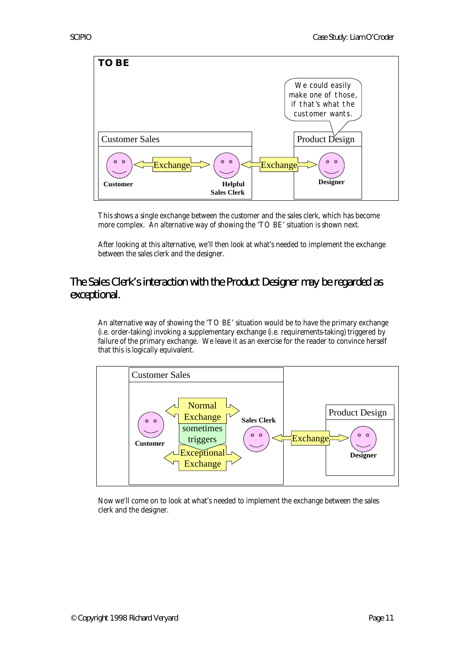

This shows a single exchange between the customer and the sales clerk, which has become more complex. An alternative way of showing the 'TO BE' situation is shown next.

After looking at this alternative, we'll then look at what's needed to implement the exchange between the sales clerk and the designer.

# The Sales Clerk's interaction with the Product Designer may be regarded as exceptional.

An alternative way of showing the 'TO BE' situation would be to have the primary exchange (i.e. order-taking) invoking a supplementary exchange (i.e. requirements-taking) triggered by failure of the primary exchange. We leave it as an exercise for the reader to convince herself that this is logically equivalent.



Now we'll come on to look at what's needed to implement the exchange between the sales clerk and the designer.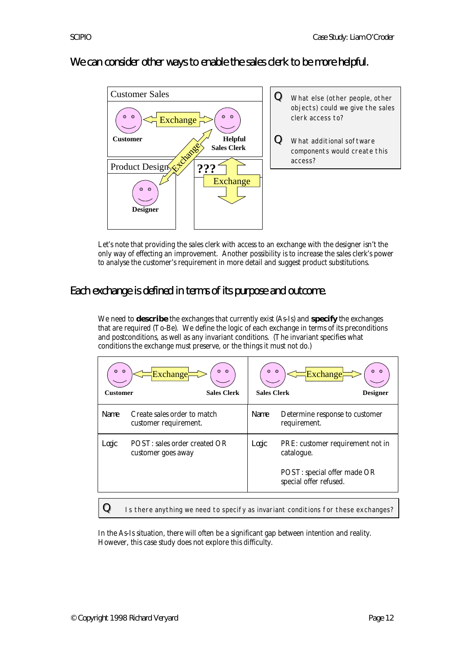We can consider other ways to enable the sales clerk to be more helpful.



Let's note that providing the sales clerk with access to an exchange with the designer isn't the only way of effecting an improvement. Another possibility is to increase the sales clerk's power to analyse the customer's requirement in more detail and suggest product substitutions.

# Each exchange is defined in terms of its purpose and outcome.

We need to **describe** the exchanges that currently exist (As-Is) and **specify** the exchanges that are required (To-Be). We define the logic of each exchange in terms of its preconditions and postconditions, as well as any invariant conditions. (The invariant specifies what conditions the exchange must preserve, or the things it must not do.)

| 00<br>$\circ$<br>$\circ$<br>Exchange <sub>r</sub><br><b>Sales Clerk</b><br><b>Customer</b> |                                                      | $\circ$<br>$\circ$<br>Exchange<br><b>Sales Clerk</b><br><b>Designer</b> |                                                                                                         |
|--------------------------------------------------------------------------------------------|------------------------------------------------------|-------------------------------------------------------------------------|---------------------------------------------------------------------------------------------------------|
| Name                                                                                       | Create sales order to match<br>customer requirement. | <b>Name</b>                                                             | Determine response to customer<br>requirement.                                                          |
| Logic                                                                                      | POST: sales order created OR<br>customer goes away   | Logic                                                                   | PRE: customer requirement not in<br>catalogue.<br>POST: special offer made OR<br>special offer refused. |
|                                                                                            |                                                      |                                                                         |                                                                                                         |

 $\bf{Q}$  Is there anything we need to specify as invariant conditions for these exchanges?

In the As-Is situation, there will often be a significant gap between intention and reality. However, this case study does not explore this difficulty.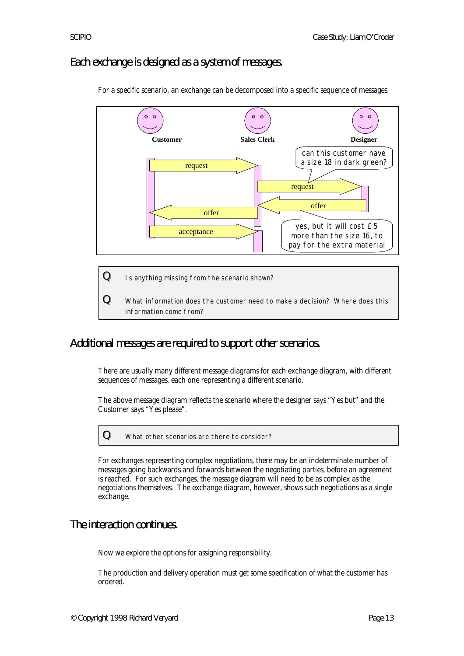# Each exchange is designed as a system of messages.



For a specific scenario, an exchange can be decomposed into a specific sequence of messages.



### Additional messages are required to support other scenarios.

information come from?

There are usually many different message diagrams for each exchange diagram, with different sequences of messages, each one representing a different scenario.

The above message diagram reflects the scenario where the designer says "Yes but" and the Customer says "Yes please".

For exchanges representing complex negotiations, there may be an indeterminate number of messages going backwards and forwards between the negotiating parties, before an agreement is reached. For such exchanges, the message diagram will need to be as complex as the negotiations themselves. The exchange diagram, however, shows such negotiations as a single exchange.

### The interaction continues.

Now we explore the options for assigning responsibility.

The production and delivery operation must get some specification of what the customer has ordered.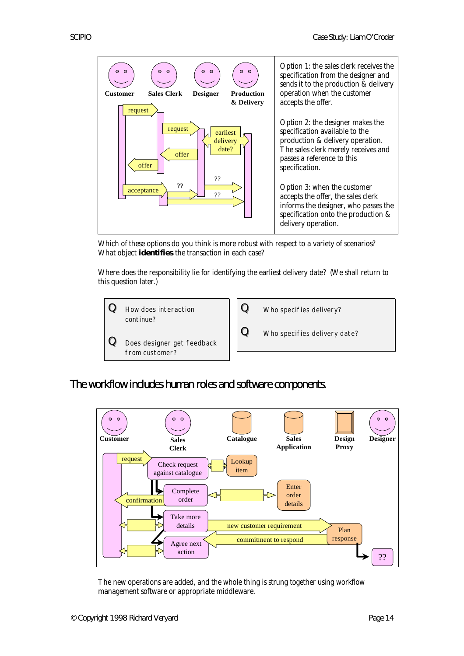

Which of these options do you think is more robust with respect to a variety of scenarios? What object **identifies** the transaction in each case?

Where does the responsibility lie for identifying the earliest delivery date? (We shall return to this question later.)



The workflow includes human roles and software components.



The new operations are added, and the whole thing is strung together using workflow management software or appropriate middleware.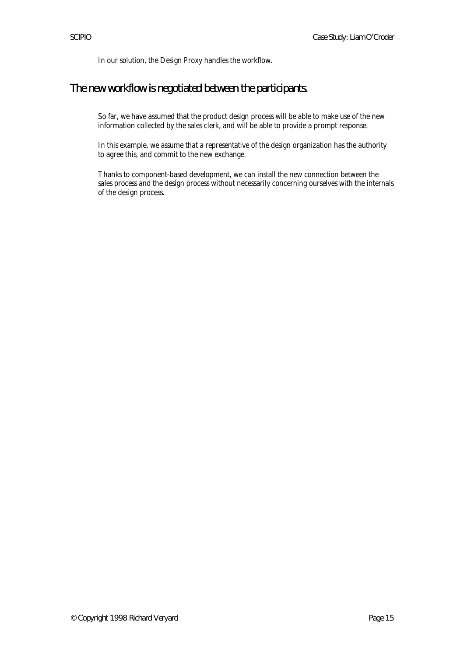In our solution, the Design Proxy handles the workflow.

# The new workflow is negotiated between the participants.

So far, we have assumed that the product design process will be able to make use of the new information collected by the sales clerk, and will be able to provide a prompt response.

In this example, we assume that a representative of the design organization has the authority to agree this, and commit to the new exchange.

Thanks to component-based development, we can install the new connection between the sales process and the design process without necessarily concerning ourselves with the internals of the design process.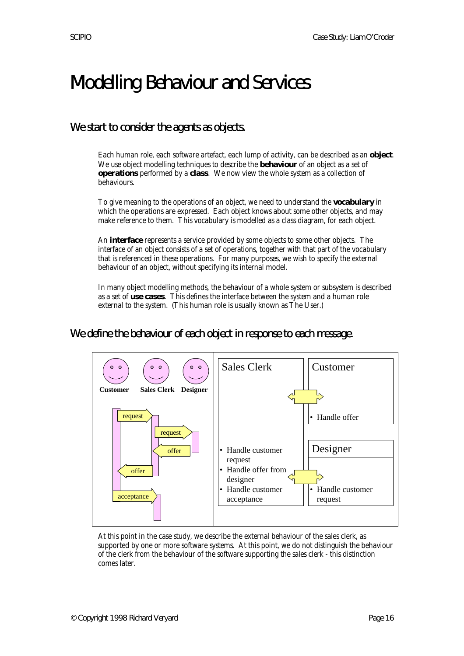# Modelling Behaviour and Services

# We start to consider the agents as objects.

Each human role, each software artefact, each lump of activity, can be described as an **object**. We use object modelling techniques to describe the **behaviour** of an object as a set of **operations** performed by a **class**. We now view the whole system as a collection of behaviours.

To give meaning to the operations of an object, we need to understand the **vocabulary** in which the operations are expressed. Each object knows about some other objects, and may make reference to them. This vocabulary is modelled as a class diagram, for each object.

An **interface** represents a service provided by some objects to some other objects. The interface of an object consists of a set of operations, together with that part of the vocabulary that is referenced in these operations. For many purposes, we wish to specify the external behaviour of an object, without specifying its internal model.

In many object modelling methods, the behaviour of a whole system or subsystem is described as a set of **use cases**. This defines the interface between the system and a human role external to the system. (This human role is usually known as The User.)

We define the behaviour of each object in response to each message.



At this point in the case study, we describe the external behaviour of the sales clerk, as supported by one or more software systems. At this point, we do not distinguish the behaviour of the clerk from the behaviour of the software supporting the sales clerk - this distinction comes later.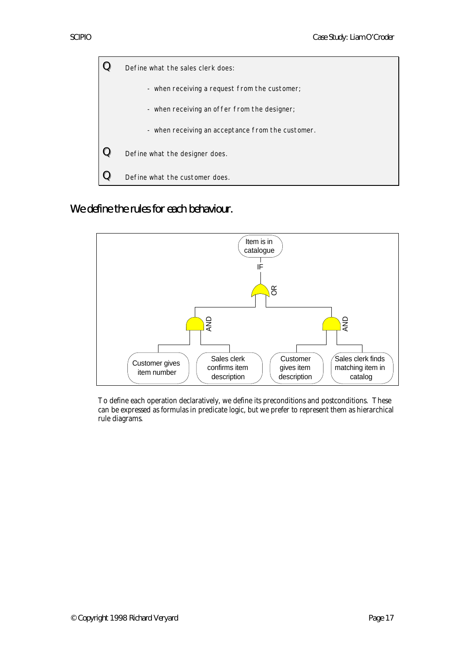

We define the rules for each behaviour.



To define each operation declaratively, we define its preconditions and postconditions. These can be expressed as formulas in predicate logic, but we prefer to represent them as hierarchical rule diagrams.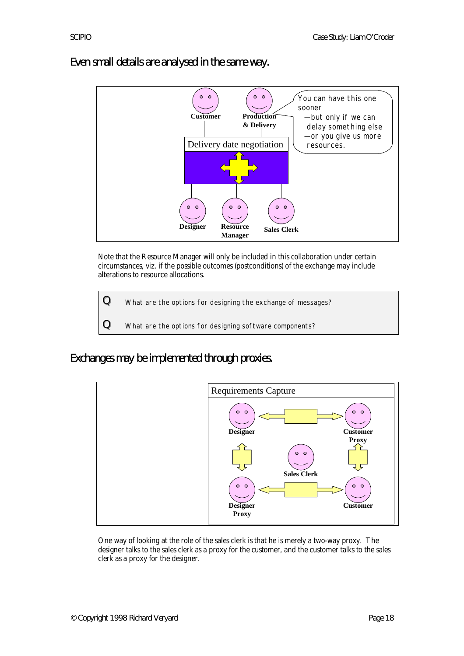

Even small details are analysed in the same way.

Note that the Resource Manager will only be included in this collaboration under certain circumstances, viz. if the possible outcomes (postconditions) of the exchange may include alterations to resource allocations.

 ${\bf Q}\quad$  What are the options for designing the exchange of messages?

 ${\bf Q}\quad$  What are the options for designing software components?

Exchanges may be implemented through proxies.



One way of looking at the role of the sales clerk is that he is merely a two-way proxy. The designer talks to the sales clerk as a proxy for the customer, and the customer talks to the sales clerk as a proxy for the designer.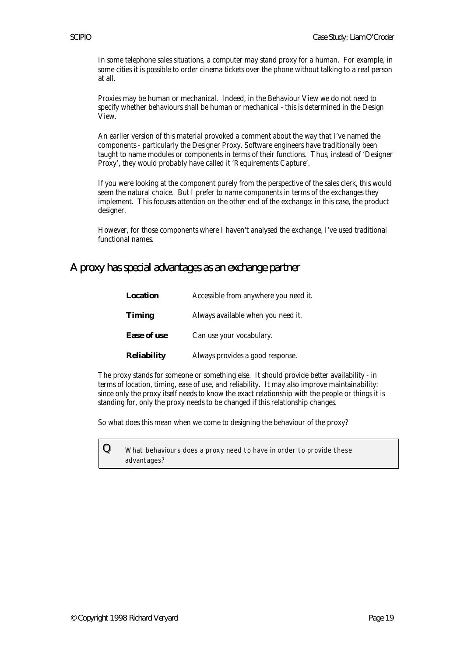In some telephone sales situations, a computer may stand proxy for a human. For example, in some cities it is possible to order cinema tickets over the phone without talking to a real person at all.

Proxies may be human or mechanical. Indeed, in the Behaviour View we do not need to specify whether behaviours shall be human or mechanical - this is determined in the Design View.

An earlier version of this material provoked a comment about the way that I've named the components - particularly the Designer Proxy. Software engineers have traditionally been taught to name modules or components in terms of their functions. Thus, instead of 'Designer Proxy', they would probably have called it 'Requirements Capture'.

If you were looking at the component purely from the perspective of the sales clerk, this would seem the natural choice. But I prefer to name components in terms of the exchanges they implement. This focuses attention on the other end of the exchange: in this case, the product designer.

However, for those components where I haven't analysed the exchange, I've used traditional functional names.

#### A proxy has special advantages as an exchange partner

| <b>Location</b>    | Accessible from anywhere you need it. |  |
|--------------------|---------------------------------------|--|
| <b>Timing</b>      | Always available when you need it.    |  |
| <b>Ease of use</b> | Can use your vocabulary.              |  |
| <b>Reliability</b> | Always provides a good response.      |  |

The proxy stands for someone or something else. It should provide better availability - in terms of location, timing, ease of use, and reliability. It may also improve maintainability: since only the proxy itself needs to know the exact relationship with the people or things it is standing for, only the proxy needs to be changed if this relationship changes.

So what does this mean when we come to designing the behaviour of the proxy?

 ${\bf Q}\equiv$  What behaviours does a proxy need to have in order to provide these advantages?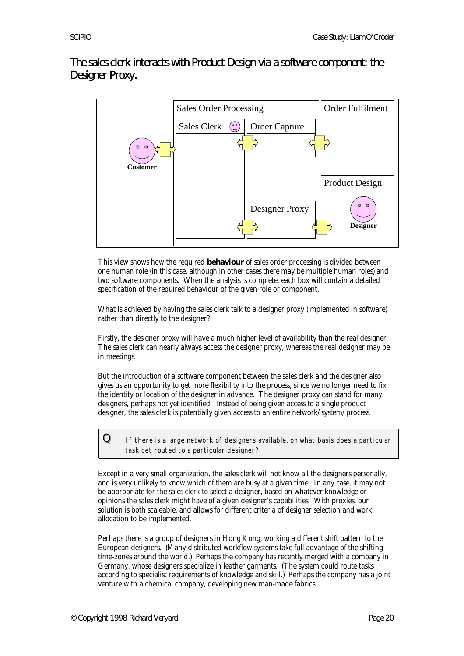The sales clerk interacts with Product Design via a software component: the Designer Proxy.



This view shows how the required **behaviour** of sales order processing is divided between one human role (in this case, although in other cases there may be multiple human roles) and two software components. When the analysis is complete, each box will contain a detailed specification of the required behaviour of the given role or component.

What is achieved by having the sales clerk talk to a designer proxy (implemented in software) rather than directly to the designer?

Firstly, the designer proxy will have a much higher level of availability than the real designer. The sales clerk can nearly always access the designer proxy, whereas the real designer may be in meetings.

But the introduction of a software component between the sales clerk and the designer also gives us an opportunity to get more flexibility into the process, since we no longer need to fix the identity or location of the designer in advance. The designer proxy can stand for many designers, perhaps not yet identified. Instead of being given access to a single product designer, the sales clerk is potentially given access to an entire network/system/process.

 $\bf{Q}$  If there is a large network of designers available, on what basis does a particular task get routed to a particular designer?

Except in a very small organization, the sales clerk will not know all the designers personally, and is very unlikely to know which of them are busy at a given time. In any case, it may not be appropriate for the sales clerk to select a designer, based on whatever knowledge or opinions the sales clerk might have of a given designer's capabilities. With proxies, our solution is both scaleable, and allows for different criteria of designer selection and work allocation to be implemented.

Perhaps there is a group of designers in Hong Kong, working a different shift pattern to the European designers. (Many distributed workflow systems take full advantage of the shifting time-zones around the world.) Perhaps the company has recently merged with a company in Germany, whose designers specialize in leather garments. (The system could route tasks according to specialist requirements of knowledge and skill.) Perhaps the company has a joint venture with a chemical company, developing new man-made fabrics.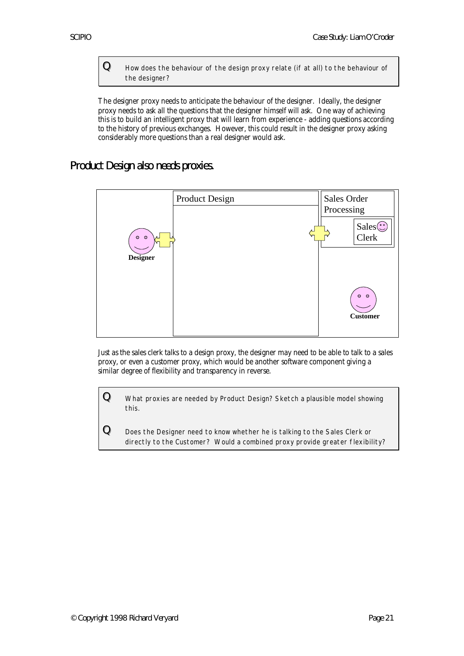${\bf Q}\quad$  How does the behaviour of the design proxy relate (if at all) to the behaviour of the designer?

The designer proxy needs to anticipate the behaviour of the designer. Ideally, the designer proxy needs to ask all the questions that the designer himself will ask. One way of achieving this is to build an intelligent proxy that will learn from experience - adding questions according to the history of previous exchanges. However, this could result in the designer proxy asking considerably more questions than a real designer would ask.

#### Product Design also needs proxies.



Just as the sales clerk talks to a design proxy, the designer may need to be able to talk to a sales proxy, or even a customer proxy, which would be another software component giving a similar degree of flexibility and transparency in reverse.

 ${\bf Q}\equiv$  What proxies are needed by Product Design? Sketch a plausible model showing this.

 $Q$  Does the Designer need to know whether he is talking to the Sales Clerk or directly to the Customer? Would a combined proxy provide greater flexibility?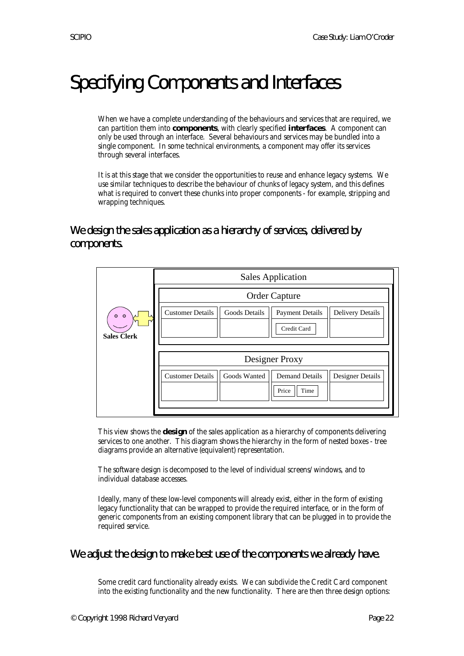# Specifying Components and Interfaces

When we have a complete understanding of the behaviours and services that are required, we can partition them into **components**, with clearly specified **interfaces**. A component can only be used through an interface. Several behaviours and services may be bundled into a single component. In some technical environments, a component may offer its services through several interfaces.

It is at this stage that we consider the opportunities to reuse and enhance legacy systems. We use similar techniques to describe the behaviour of chunks of legacy system, and this defines what is required to convert these chunks into proper components - for example, stripping and wrapping techniques.

We design the sales application as a hierarchy of services, delivered by components.

|                                      | <b>Sales Application</b>                                                                                            |  |  |
|--------------------------------------|---------------------------------------------------------------------------------------------------------------------|--|--|
|                                      | <b>Order Capture</b>                                                                                                |  |  |
| 0 <sub>o</sub><br><b>Sales Clerk</b> | <b>Customer Details</b><br><b>Goods Details</b><br><b>Delivery Details</b><br><b>Payment Details</b><br>Credit Card |  |  |
|                                      | Designer Proxy                                                                                                      |  |  |
|                                      | <b>Customer Details</b><br><b>Demand Details</b><br>Goods Wanted<br>Designer Details<br>Price<br>Time               |  |  |
|                                      |                                                                                                                     |  |  |

This view shows the **design** of the sales application as a hierarchy of components delivering services to one another. This diagram shows the hierarchy in the form of nested boxes - tree diagrams provide an alternative (equivalent) representation.

The software design is decomposed to the level of individual screens/windows, and to individual database accesses.

Ideally, many of these low-level components will already exist, either in the form of existing legacy functionality that can be wrapped to provide the required interface, or in the form of generic components from an existing component library that can be plugged in to provide the required service.

#### We adjust the design to make best use of the components we already have.

Some credit card functionality already exists. We can subdivide the Credit Card component into the existing functionality and the new functionality. There are then three design options: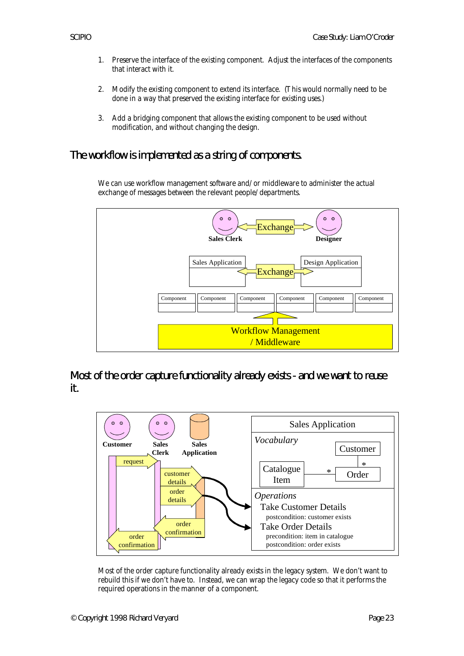- 1. Preserve the interface of the existing component. Adjust the interfaces of the components that interact with it.
- 2. Modify the existing component to extend its interface. (This would normally need to be done in a way that preserved the existing interface for existing uses.)
- 3. Add a bridging component that allows the existing component to be used without modification, and without changing the design.

# The workflow is implemented as a string of components.

We can use workflow management software and/or middleware to administer the actual exchange of messages between the relevant people/departments.



Most of the order capture functionality already exists - and we want to reuse it.



Most of the order capture functionality already exists in the legacy system. We don't want to rebuild this if we don't have to. Instead, we can wrap the legacy code so that it performs the required operations in the manner of a component.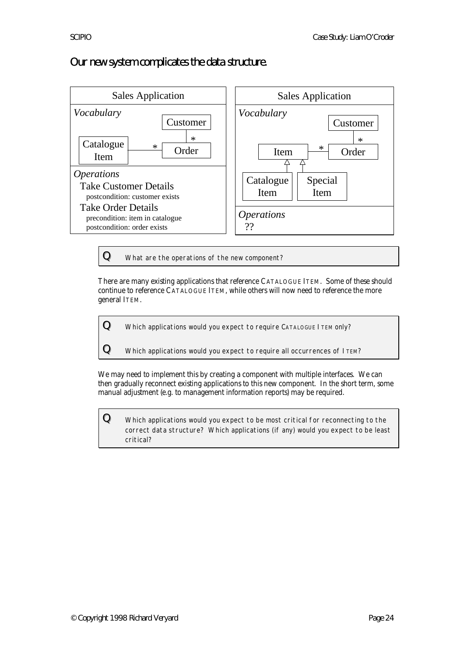# Our new system complicates the data structure.



 ${\bf Q}\quad$  What are the operations of the new component?

There are many existing applications that reference CATALOGUE ITEM. Some of these should continue to reference CATALOGUE ITEM, while others will now need to reference the more general ITEM.

 ${\bf Q}\equiv$  Which applications would you expect to require <code>CATALOGUE</code> I <code>TEM</code> only?

 ${\bf Q}\equiv$  Which applications would you expect to require all occurrences of ITEM?

We may need to implement this by creating a component with multiple interfaces. We can then gradually reconnect existing applications to this new component. In the short term, some manual adjustment (e.g. to management information reports) may be required.

 ${\bf Q}\quad$  Which applications would you expect to be most critical for reconnecting to the correct data structure? Which applications (if any) would you expect to be least critical?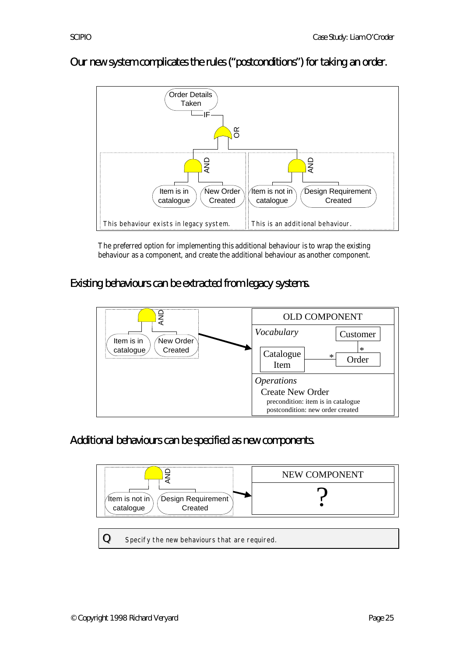

# Our new system complicates the rules ("postconditions") for taking an order.

The preferred option for implementing this additional behaviour is to wrap the existing behaviour as a component, and create the additional behaviour as another component.

Existing behaviours can be extracted from legacy systems.



Additional behaviours can be specified as new components.



 $Q$  Specify the new behaviours that are required.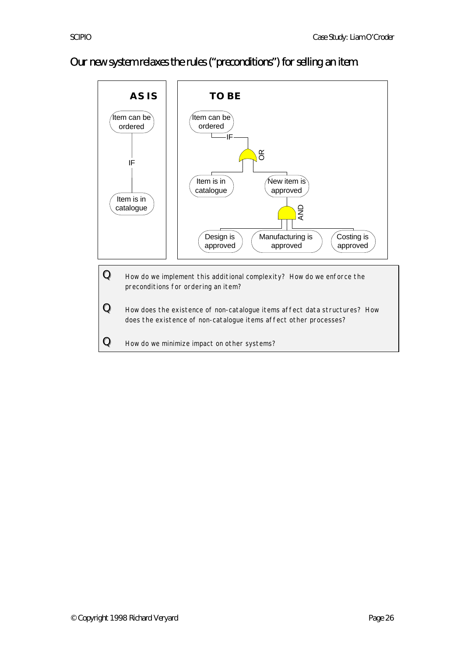# Our new system relaxes the rules ("preconditions") for selling an item.

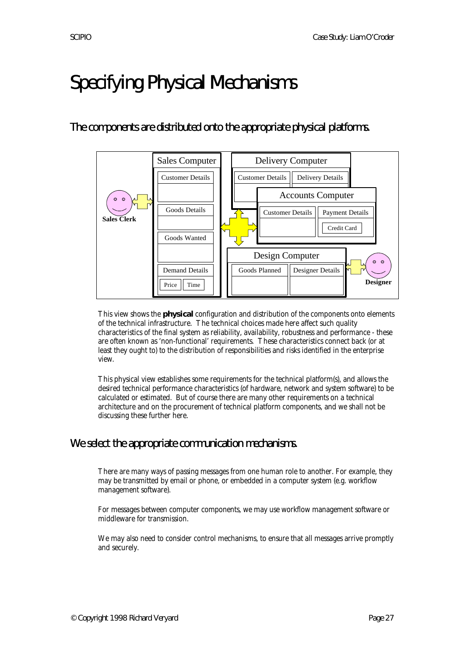# Specifying Physical Mechanisms

# The components are distributed onto the appropriate physical platforms.



This view shows the **physical** configuration and distribution of the components onto elements of the technical infrastructure. The technical choices made here affect such quality characteristics of the final system as reliability, availability, robustness and performance - these are often known as 'non-functional' requirements. These characteristics connect back (or at least they ought to) to the distribution of responsibilities and risks identified in the enterprise view.

This physical view establishes some requirements for the technical platform(s), and allows the desired technical performance characteristics (of hardware, network and system software) to be calculated or estimated. But of course there are many other requirements on a technical architecture and on the procurement of technical platform components, and we shall not be discussing these further here.

# We select the appropriate communication mechanisms.

There are many ways of passing messages from one human role to another. For example, they may be transmitted by email or phone, or embedded in a computer system (e.g. workflow management software).

For messages between computer components, we may use workflow management software or middleware for transmission.

We may also need to consider control mechanisms, to ensure that all messages arrive promptly and securely.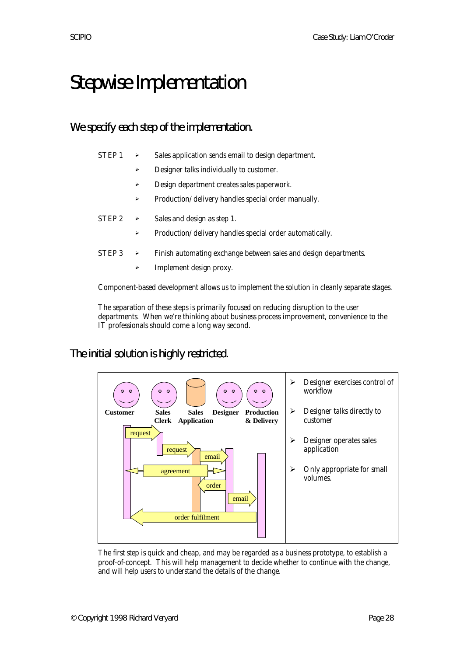# Stepwise Implementation

# We specify each step of the implementation.

| STEP 1 | → | Sales application sends email to design department. |
|--------|---|-----------------------------------------------------|
|        |   | Designer talks individually to customer.            |
|        | ⋗ | Design department creates sales paperwork.          |

Production/delivery handles special order manually.

| $STEP 2 \rightarrow$ |                       | Sales and design as step 1.                                      |
|----------------------|-----------------------|------------------------------------------------------------------|
|                      |                       | Production/delivery handles special order automatically.         |
| $STEP 3 \rightarrow$ |                       | Finish automating exchange between sales and design departments. |
|                      | $\blacktriangleright$ | Implement design proxy.                                          |

Component-based development allows us to implement the solution in cleanly separate stages.

The separation of these steps is primarily focused on reducing disruption to the user departments. When we're thinking about business process improvement, convenience to the IT professionals should come a long way second.

# The initial solution is highly restricted.



The first step is quick and cheap, and may be regarded as a business prototype, to establish a proof-of-concept. This will help management to decide whether to continue with the change, and will help users to understand the details of the change.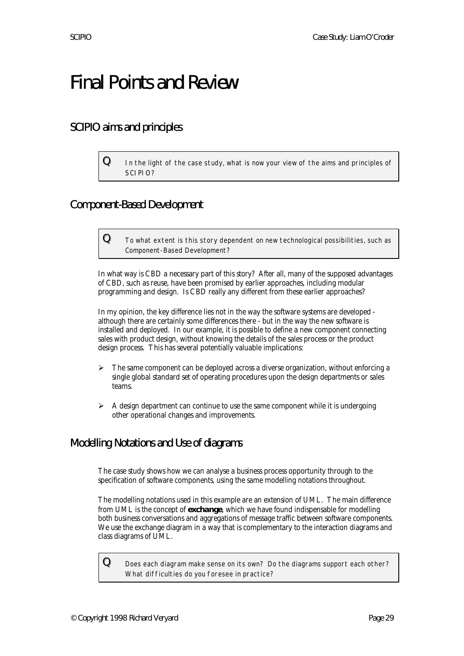# Final Points and Review

# SCIPIO aims and principles

 ${\bf Q}\quad$  In the light of the case study, what is now your view of the aims and principles of SCIPIO?

# Component-Based Development

 ${\bf Q}$  To what extent is this story dependent on new technological possibilities, such as Component-Based Development?

In what way is CBD a necessary part of this story? After all, many of the supposed advantages of CBD, such as reuse, have been promised by earlier approaches, including modular programming and design. Is CBD really any different from these earlier approaches?

In my opinion, the key difference lies not in the way the software systems are developed although there are certainly some differences there - but in the way the new software is installed and deployed. In our example, it is possible to define a new component connecting sales with product design, without knowing the details of the sales process or the product design process. This has several potentially valuable implications:

- $\triangleright$  The same component can be deployed across a diverse organization, without enforcing a single global standard set of operating procedures upon the design departments or sales teams.
- A design department can continue to use the same component while it is undergoing other operational changes and improvements.

# Modelling Notations and Use of diagrams

The case study shows how we can analyse a business process opportunity through to the specification of software components, using the same modelling notations throughout.

The modelling notations used in this example are an extension of UML. The main difference from UML is the concept of **exchange**, which we have found indispensable for modelling both business conversations and aggregations of message traffic between software components. We use the exchange diagram in a way that is complementary to the interaction diagrams and class diagrams of UML.

 ${\bf Q}\quad$  Does each diagram make sense on its own? Do the diagrams support each other? What difficulties do you foresee in practice?